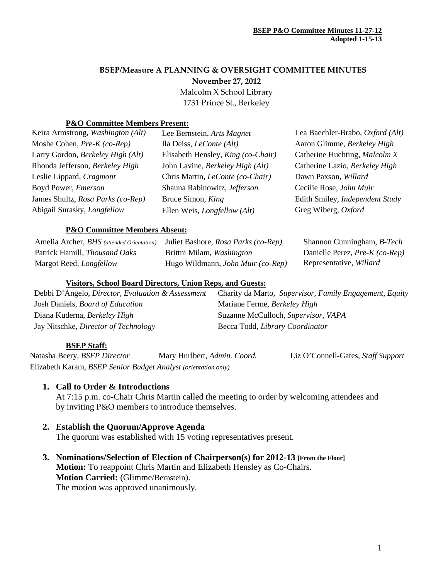# **BSEP/Measure A PLANNING & OVERSIGHT COMMITTEE MINUTES November 27, 2012** Malcolm X School Library

1731 Prince St., Berkeley

#### **P&O Committee Members Present:**

| Keira Armstrong, Washington (Alt)  | Lee Bernstein, Arts Magnet          | Lea Baechler-Brabo, Oxford (Alt) |
|------------------------------------|-------------------------------------|----------------------------------|
| Moshe Cohen, Pre-K (co-Rep)        | Ila Deiss, <i>LeConte</i> (Alt)     | Aaron Glimme, Berkeley High      |
| Larry Gordon, Berkeley High (Alt)  | Elisabeth Hensley, King (co-Chair)  | Catherine Huchting, Malcolm X    |
| Rhonda Jefferson, Berkeley High    | John Lavine, Berkeley High (Alt)    | Catherine Lazio, Berkeley High   |
| Leslie Lippard, Cragmont           | Chris Martin, LeConte (co-Chair)    | Dawn Paxson, Willard             |
| Boyd Power, <i>Emerson</i>         | Shauna Rabinowitz, Jefferson        | Cecilie Rose, John Muir          |
| James Shultz, Rosa Parks (co-Rep)  | Bruce Simon, King                   | Edith Smiley, Independent Study  |
| Abigail Surasky, <i>Longfellow</i> | Ellen Weis, <i>Longfellow</i> (Alt) | Greg Wiberg, Oxford              |
|                                    |                                     |                                  |

#### **P&O Committee Members Absent:**

| Amelia Archer, <i>BHS</i> (attended Orientation) | Juliet Bashore, Rosa Parks (co-Rep) | Shannon Cunningham, <i>B-Tech</i> |
|--------------------------------------------------|-------------------------------------|-----------------------------------|
| Patrick Hamill, <i>Thousand Oaks</i>             | Brittni Milam, <i>Washington</i>    | Danielle Perez, Pre-K (co-Rep)    |
| Margot Reed, <i>Longfellow</i>                   | Hugo Wildmann, John Muir (co-Rep)   | Representative, Willard           |

#### **Visitors, School Board Directors, Union Reps, and Guests:**

| Debbi D'Angelo, Director, Evaluation & Assessment | Charity da Marto, Supervisor, Family Engagement, Equity |
|---------------------------------------------------|---------------------------------------------------------|
| Josh Daniels, Board of Education                  | Mariane Ferme, Berkeley High                            |
| Diana Kuderna, Berkeley High                      | Suzanne McCulloch, Supervisor, VAPA                     |
| Jay Nitschke, Director of Technology              | Becca Todd, Library Coordinator                         |

#### **BSEP Staff:**

Natasha Beery, *BSEP Director* Mary Hurlbert, *Admin. Coord.* Liz O'Connell-Gates, *Staff Support* Elizabeth Karam, *BSEP Senior Budget Analyst (orientation only)*

#### **1. Call to Order & Introductions**

At 7:15 p.m. co-Chair Chris Martin called the meeting to order by welcoming attendees and by inviting P&O members to introduce themselves.

# **2. Establish the Quorum/Approve Agenda**

The quorum was established with 15 voting representatives present.

**3. Nominations/Selection of Election of Chairperson(s) for 2012-13 [From the Floor] Motion:** To reappoint Chris Martin and Elizabeth Hensley as Co-Chairs. **Motion Carried:** (Glimme/Bernstein). The motion was approved unanimously.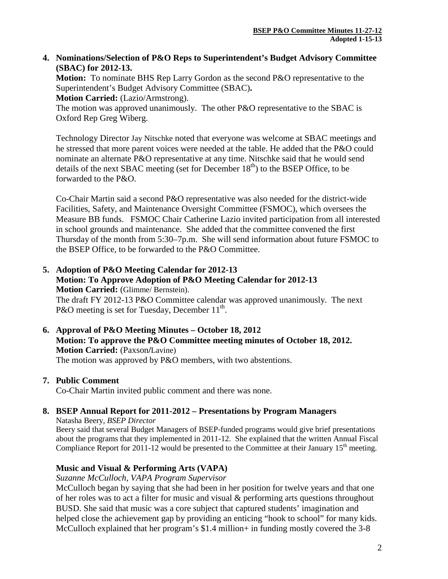### **4. Nominations/Selection of P&O Reps to Superintendent's Budget Advisory Committee (SBAC) for 2012-13.**

**Motion:** To nominate BHS Rep Larry Gordon as the second P&O representative to the Superintendent's Budget Advisory Committee (SBAC)**.**

**Motion Carried:** (Lazio/Armstrong).

The motion was approved unanimously. The other P&O representative to the SBAC is Oxford Rep Greg Wiberg.

Technology Director Jay Nitschke noted that everyone was welcome at SBAC meetings and he stressed that more parent voices were needed at the table. He added that the P&O could nominate an alternate P&O representative at any time. Nitschke said that he would send details of the next SBAC meeting (set for December  $18<sup>th</sup>$ ) to the BSEP Office, to be forwarded to the P&O.

Co-Chair Martin said a second P&O representative was also needed for the district-wide Facilities, Safety, and Maintenance Oversight Committee (FSMOC), which oversees the Measure BB funds. FSMOC Chair Catherine Lazio invited participation from all interested in school grounds and maintenance. She added that the committee convened the first Thursday of the month from 5:30–7p.m. She will send information about future FSMOC to the BSEP Office, to be forwarded to the P&O Committee.

- **5. Adoption of P&O Meeting Calendar for 2012-13 Motion: To Approve Adoption of P&O Meeting Calendar for 2012-13 Motion Carried:** (Glimme/ Bernstein). The draft FY 2012-13 P&O Committee calendar was approved unanimously. The next P&O meeting is set for Tuesday, December  $11^{th}$ .
- **6. Approval of P&O Meeting Minutes – October 18, 2012 Motion: To approve the P&O Committee meeting minutes of October 18, 2012. Motion Carried:** (Paxson**/**Lavine) The motion was approved by P&O members, with two abstentions.

#### **7. Public Comment**

Co-Chair Martin invited public comment and there was none.

# **8. BSEP Annual Report for 2011-2012 – Presentations by Program Managers**

Natasha Beery, *BSEP Director* Beery said that several Budget Managers of BSEP-funded programs would give brief presentations about the programs that they implemented in 2011-12. She explained that the written Annual Fiscal Compliance Report for 2011-12 would be presented to the Committee at their January 15<sup>th</sup> meeting.

# **Music and Visual & Performing Arts (VAPA)**

*Suzanne McCulloch, VAPA Program Supervisor*

McCulloch began by saying that she had been in her position for twelve years and that one of her roles was to act a filter for music and visual & performing arts questions throughout BUSD. She said that music was a core subject that captured students' imagination and helped close the achievement gap by providing an enticing "hook to school" for many kids. McCulloch explained that her program's \$1.4 million+ in funding mostly covered the 3-8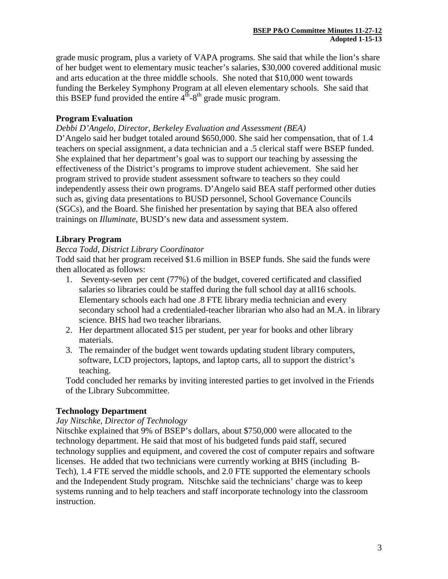grade music program, plus a variety of VAPA programs. She said that while the lion's share of her budget went to elementary music teacher's salaries, \$30,000 covered additional music and arts education at the three middle schools. She noted that \$10,000 went towards funding the Berkeley Symphony Program at all eleven elementary schools. She said that this BSEP fund provided the entire  $4<sup>th</sup> - 8<sup>th</sup>$  grade music program.

# **Program Evaluation**

*Debbi D'Angelo, Director, Berkeley Evaluation and Assessment (BEA)*

D'Angelo said her budget totaled around \$650,000. She said her compensation, that of 1.4 teachers on special assignment, a data technician and a .5 clerical staff were BSEP funded. She explained that her department's goal was to support our teaching by assessing the effectiveness of the District's programs to improve student achievement. She said her program strived to provide student assessment software to teachers so they could independently assess their own programs. D'Angelo said BEA staff performed other duties such as, giving data presentations to BUSD personnel, School Governance Councils (SGCs), and the Board. She finished her presentation by saying that BEA also offered trainings on *Illuminate*, BUSD's new data and assessment system.

# **Library Program**

### *Becca Todd, District Library Coordinator*

Todd said that her program received \$1.6 million in BSEP funds. She said the funds were then allocated as follows:

- 1. Seventy-seven per cent (77%) of the budget, covered certificated and classified salaries so libraries could be staffed during the full school day at all16 schools. Elementary schools each had one .8 FTE library media technician and every secondary school had a credentialed-teacher librarian who also had an M.A. in library science. BHS had two teacher librarians.
- 2. Her department allocated \$15 per student, per year for books and other library materials.
- 3. The remainder of the budget went towards updating student library computers, software, LCD projectors, laptops, and laptop carts, all to support the district's teaching.

Todd concluded her remarks by inviting interested parties to get involved in the Friends of the Library Subcommittee.

# **Technology Department**

### *Jay Nitschke, Director of Technology*

Nitschke explained that 9% of BSEP's dollars, about \$750,000 were allocated to the technology department. He said that most of his budgeted funds paid staff, secured technology supplies and equipment, and covered the cost of computer repairs and software licenses. He added that two technicians were currently working at BHS (including B-Tech), 1.4 FTE served the middle schools, and 2.0 FTE supported the elementary schools and the Independent Study program. Nitschke said the technicians' charge was to keep systems running and to help teachers and staff incorporate technology into the classroom instruction.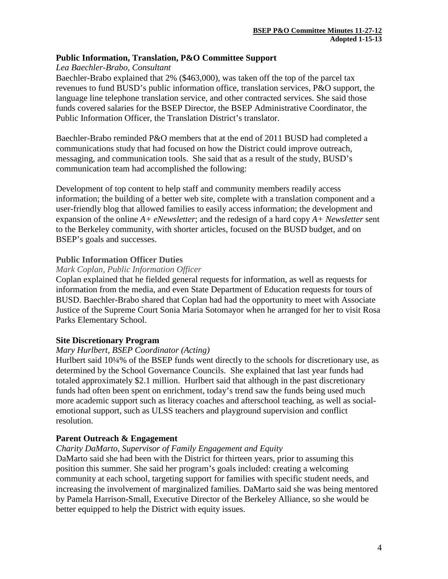### **Public Information, Translation, P&O Committee Support**

*Lea Baechler-Brabo, Consultant*

Baechler-Brabo explained that 2% (\$463,000), was taken off the top of the parcel tax revenues to fund BUSD's public information office, translation services, P&O support, the language line telephone translation service, and other contracted services. She said those funds covered salaries for the BSEP Director, the BSEP Administrative Coordinator, the Public Information Officer, the Translation District's translator.

Baechler-Brabo reminded P&O members that at the end of 2011 BUSD had completed a communications study that had focused on how the District could improve outreach, messaging, and communication tools. She said that as a result of the study, BUSD's communication team had accomplished the following:

Development of top content to help staff and community members readily access information; the building of a better web site, complete with a translation component and a user-friendly blog that allowed families to easily access information; the development and expansion of the online *A+ eNewsletter*; and the redesign of a hard copy *A+ Newsletter* sent to the Berkeley community, with shorter articles, focused on the BUSD budget, and on BSEP's goals and successes.

### **Public Information Officer Duties**

#### *Mark Coplan, Public Information Officer*

Coplan explained that he fielded general requests for information, as well as requests for information from the media, and even State Department of Education requests for tours of BUSD. Baechler-Brabo shared that Coplan had had the opportunity to meet with Associate Justice of the Supreme Court Sonia Maria Sotomayor when he arranged for her to visit Rosa Parks Elementary School.

#### **Site Discretionary Program**

#### *Mary Hurlbert, BSEP Coordinator (Acting)*

Hurlbert said 10¼% of the BSEP funds went directly to the schools for discretionary use, as determined by the School Governance Councils. She explained that last year funds had totaled approximately \$2.1 million. Hurlbert said that although in the past discretionary funds had often been spent on enrichment, today's trend saw the funds being used much more academic support such as literacy coaches and afterschool teaching, as well as socialemotional support, such as ULSS teachers and playground supervision and conflict resolution.

# **Parent Outreach & Engagement**

# *Charity DaMarto, Supervisor of Family Engagement and Equity*

DaMarto said she had been with the District for thirteen years, prior to assuming this position this summer. She said her program's goals included: creating a welcoming community at each school, targeting support for families with specific student needs, and increasing the involvement of marginalized families. DaMarto said she was being mentored by Pamela Harrison-Small, Executive Director of the Berkeley Alliance, so she would be better equipped to help the District with equity issues.